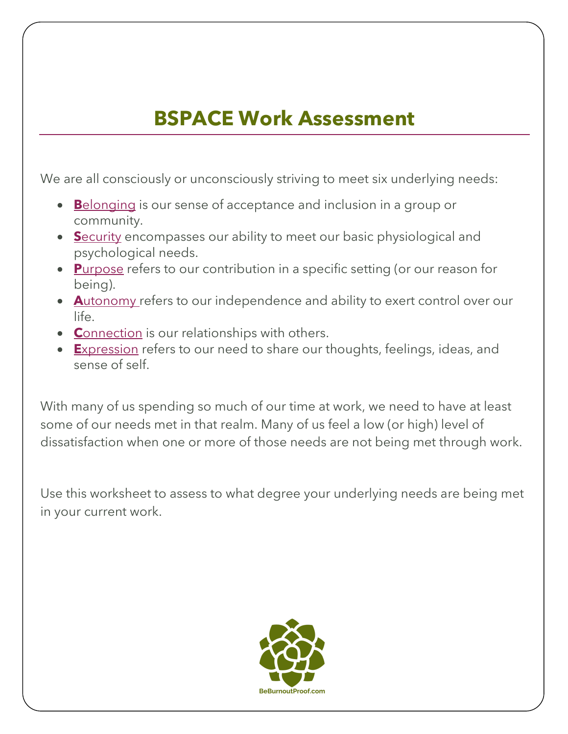# **BSPACE Work Assessment**

We are all consciously or unconsciously striving to meet six underlying needs:

- **B**elonging is our sense of acceptance and inclusion in a group or community.
- **S**ecurity encompasses our ability to meet our basic physiological and psychological needs.
- **P**urpose refers to our contribution in a specific setting (or our reason for being).
- **A**utonomy refers to our independence and ability to exert control over our life.
- **C**onnection is our relationships with others.
- **E**xpression refers to our need to share our thoughts, feelings, ideas, and sense of self.

With many of us spending so much of our time at work, we need to have at least some of our needs met in that realm. Many of us feel a low (or high) level of dissatisfaction when one or more of those needs are not being met through work.

Use this worksheet to assess to what degree your underlying needs are being met in your current work.

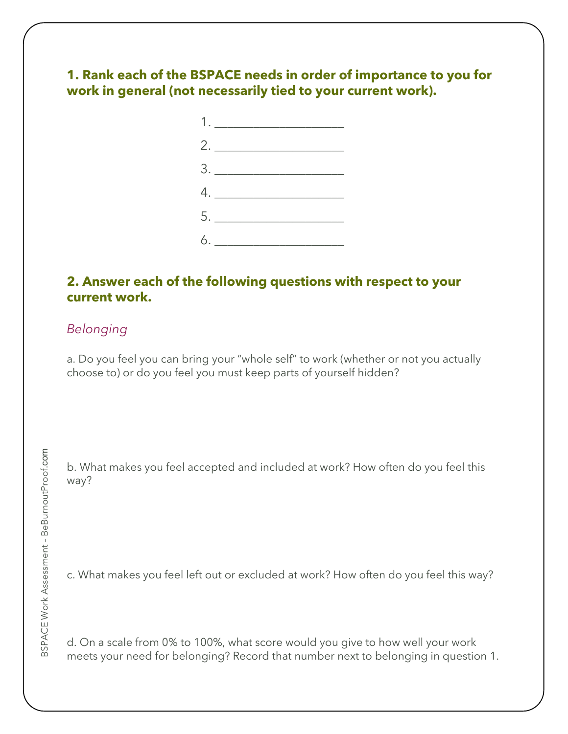# **1. Rank each of the BSPACE needs in order of importance to you for work in general (not necessarily tied to your current work).**



## **2. Answer each of the following questions with respect to your current work.**

## *Belonging*

a. Do you feel you can bring your "whole self" to work (whether or not you actually choose to) or do you feel you must keep parts of yourself hidden?

b. What makes you feel accepted and included at work? How often do you feel this way?

c. What makes you feel left out or excluded at work? How often do you feel this way?

d. On a scale from 0% to 100%, what score would you give to how well your work meets your need for belonging? Record that number next to belonging in question 1.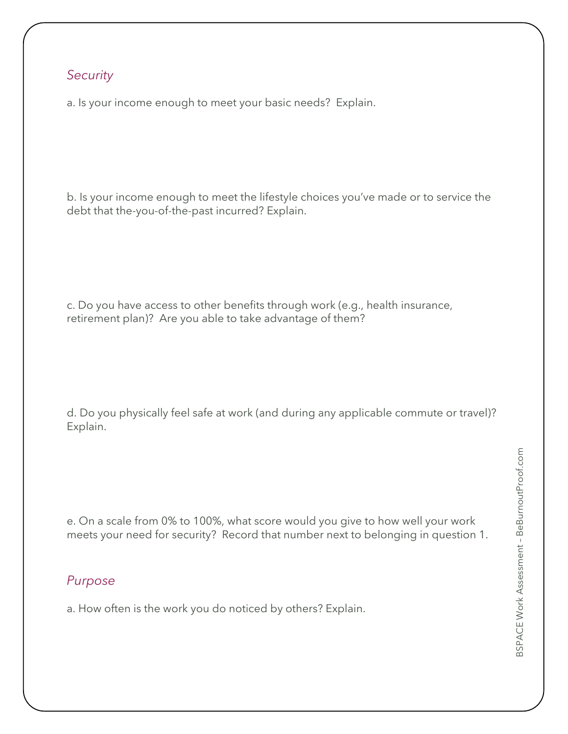### *Security*

a. Is your income enough to meet your basic needs? Explain.

b. Is your income enough to meet the lifestyle choices you've made or to service the debt that the-you-of-the-past incurred? Explain.

c. Do you have access to other benefits through work (e.g., health insurance, retirement plan)? Are you able to take advantage of them?

d. Do you physically feel safe at work (and during any applicable commute or travel)? Explain.

e. On a scale from 0% to 100%, what score would you give to how well your work meets your need for security? Record that number next to belonging in question 1.

# *Purpose*

a. How often is the work you do noticed by others? Explain.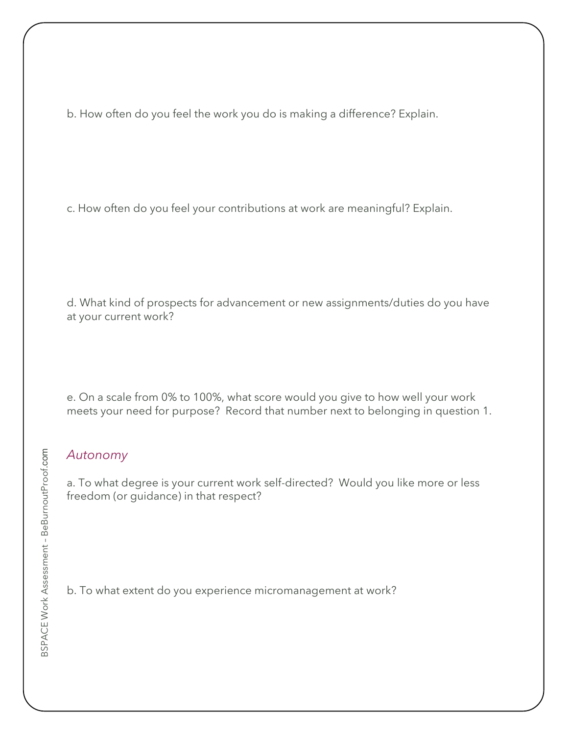b. How often do you feel the work you do is making a difference? Explain.

c. How often do you feel your contributions at work are meaningful? Explain.

d. What kind of prospects for advancement or new assignments/duties do you have at your current work?

e. On a scale from 0% to 100%, what score would you give to how well your work meets your need for purpose? Record that number next to belonging in question 1.

#### *Autonomy*

a. To what degree is your current work self-directed? Would you like more or less freedom (or guidance) in that respect?

b. To what extent do you experience micromanagement at work?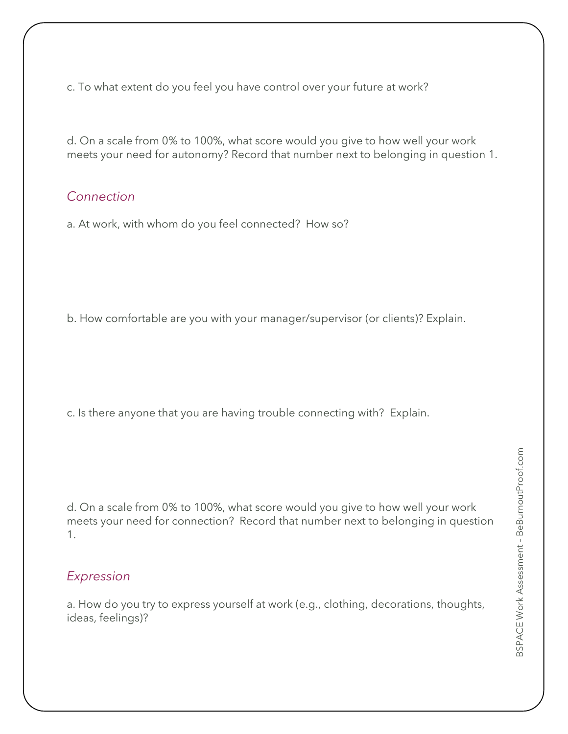c. To what extent do you feel you have control over your future at work?

d. On a scale from 0% to 100%, what score would you give to how well your work meets your need for autonomy? Record that number next to belonging in question 1.

#### *Connection*

a. At work, with whom do you feel connected? How so?

b. How comfortable are you with your manager/supervisor (or clients)? Explain.

c. Is there anyone that you are having trouble connecting with? Explain.

d. On a scale from 0% to 100%, what score would you give to how well your work meets your need for connection? Record that number next to belonging in question 1.

#### *Expression*

a. How do you try to express yourself at work (e.g., clothing, decorations, thoughts, ideas, feelings)?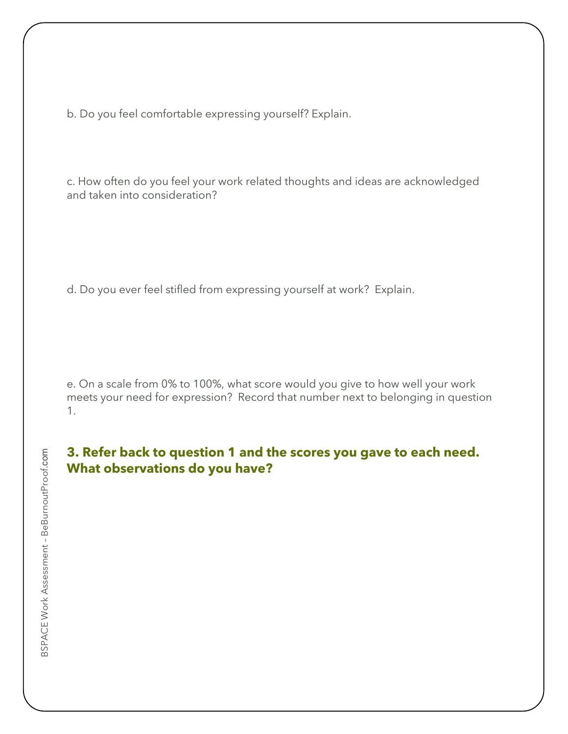b. Do you feel comfortable expressing yourself? Explain.

c. How often do you feel your work related thoughts and ideas are acknowledged and taken into consideration?

d. Do you ever feel stifled from expressing yourself at work? Explain.

e. On a scale from 0% to 100%, what score would you give to how well your work meets your need for expression? Record that number next to belonging in question 1.

#### **3. Refer back to question 1 and the scores you gave to each need. What observations do you have?**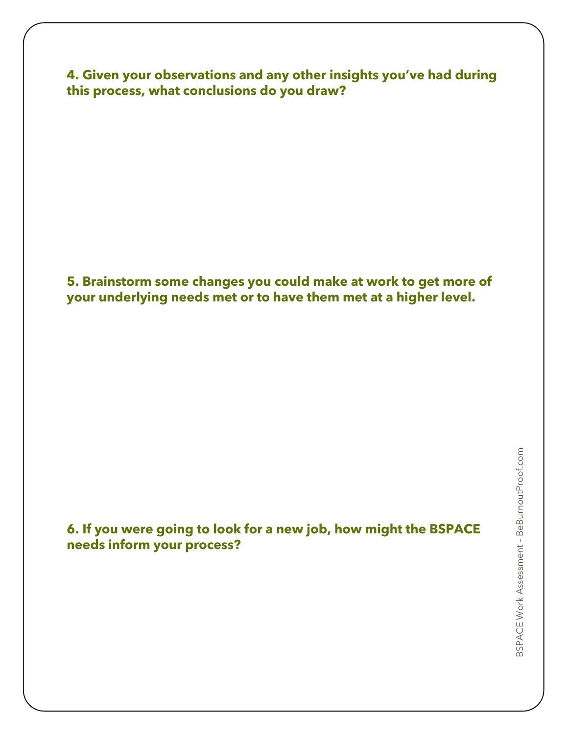**4. Given your observations and any other insights you've had during this process, what conclusions do you draw?**

**5. Brainstorm some changes you could make at work to get more of your underlying needs met or to have them met at a higher level.**

**6. If you were going to look for a new job, how might the BSPACE needs inform your process?**